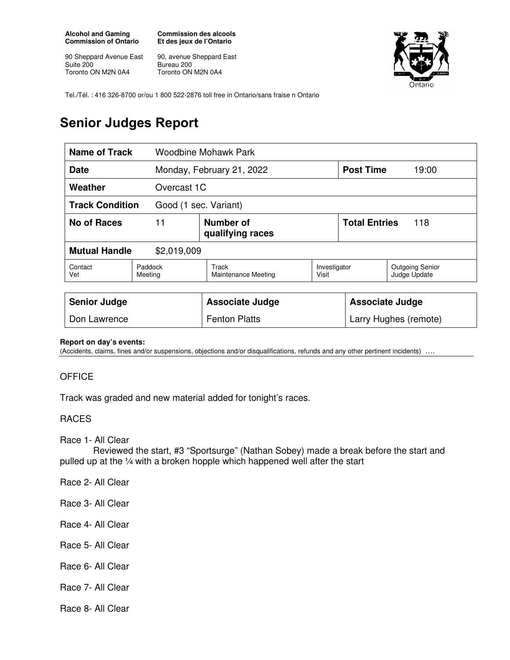**Alcohol and Gaming Commission of Ontario** 

90 Sheppard Avenue East Suite 200 Toronto ON M2N 0A4

**Commission des alcools Et des jeux de l'Ontario** 

90, avenue Sheppard East Bureau 200 Toronto ON M2N 0A4



Tel./Tél. : 416 326-8700 or/ou 1 800 522-2876 toll free in Ontario/sans fraise n Ontario

# **Senior Judges Report**

| Name of Track<br>Woodbine Mohawk Park           |                    |                               |                       |                             |                                        |  |
|-------------------------------------------------|--------------------|-------------------------------|-----------------------|-----------------------------|----------------------------------------|--|
| <b>Date</b>                                     |                    | Monday, February 21, 2022     |                       | <b>Post Time</b>            | 19:00                                  |  |
| Weather<br>Overcast 1C                          |                    |                               |                       |                             |                                        |  |
| <b>Track Condition</b><br>Good (1 sec. Variant) |                    |                               |                       |                             |                                        |  |
| <b>No of Races</b><br>11                        |                    | Number of<br>qualifying races |                       | <b>Total Entries</b><br>118 |                                        |  |
| <b>Mutual Handle</b><br>\$2,019,009             |                    |                               |                       |                             |                                        |  |
| Contact<br>Vet                                  | Paddock<br>Meeting | Track<br>Maintenance Meeting  | Investigator<br>Visit |                             | <b>Outgoing Senior</b><br>Judge Update |  |
|                                                 |                    |                               |                       |                             |                                        |  |
| <b>Senior Judge</b>                             |                    | <b>Associate Judge</b>        |                       | <b>Associate Judge</b>      |                                        |  |
| Don Lawrence                                    |                    | <b>Fenton Platts</b>          |                       |                             | Larry Hughes (remote)                  |  |

#### **Report on day's events:**

(Accidents, claims, fines and/or suspensions, objections and/or disqualifications, refunds and any other pertinent incidents) ….

## **OFFICE**

Track was graded and new material added for tonight's races.

#### RACES

Race 1- All Clear

 Reviewed the start, #3 "Sportsurge" (Nathan Sobey) made a break before the start and pulled up at the ¼ with a broken hopple which happened well after the start

Race 2- All Clear

Race 3- All Clear

Race 4- All Clear

Race 5- All Clear

Race 6- All Clear

Race 7- All Clear

Race 8- All Clear